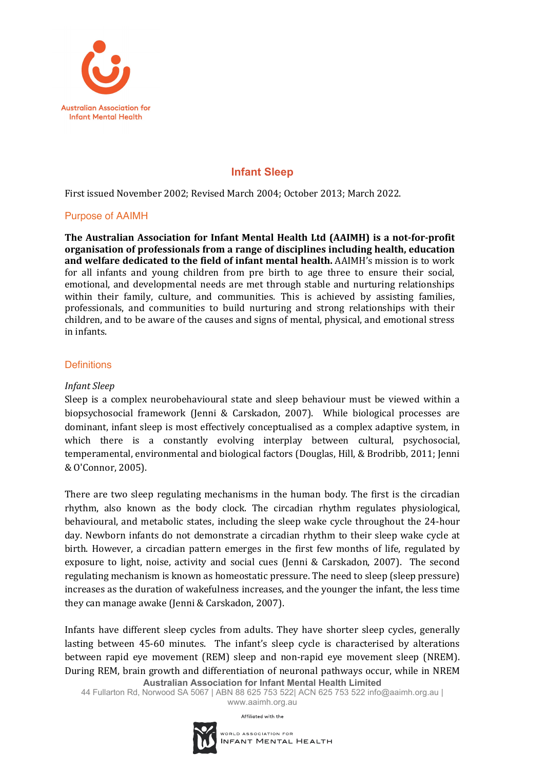

# **Infant Sleep**

First issued November 2002; Revised March 2004; October 2013; March 2022.

# Purpose of AAIMH

The Australian Association for Infant Mental Health Ltd (AAIMH) is a not-for-profit organisation of professionals from a range of disciplines including health, education and welfare dedicated to the field of infant mental health. AAIMH's mission is to work for all infants and young children from pre birth to age three to ensure their social, emotional, and developmental needs are met through stable and nurturing relationships within their family, culture, and communities. This is achieved by assisting families, professionals, and communities to build nurturing and strong relationships with their children, and to be aware of the causes and signs of mental, physical, and emotional stress in infants.

# **Definitions**

# *Infant Sleep*

Sleep is a complex neurobehavioural state and sleep behaviour must be viewed within a biopsychosocial framework (Jenni & Carskadon, 2007). While biological processes are dominant, infant sleep is most effectively conceptualised as a complex adaptive system, in which there is a constantly evolving interplay between cultural, psychosocial, temperamental, environmental and biological factors (Douglas, Hill, & Brodribb, 2011; Jenni & O'Connor, 2005). 

There are two sleep regulating mechanisms in the human body. The first is the circadian rhythm, also known as the body clock. The circadian rhythm regulates physiological, behavioural, and metabolic states, including the sleep wake cycle throughout the 24-hour day. Newborn infants do not demonstrate a circadian rhythm to their sleep wake cycle at birth. However, a circadian pattern emerges in the first few months of life, regulated by exposure to light, noise, activity and social cues (Jenni & Carskadon, 2007). The second regulating mechanism is known as homeostatic pressure. The need to sleep (sleep pressure) increases as the duration of wakefulness increases, and the younger the infant, the less time they can manage awake (Jenni & Carskadon, 2007).

**Australian Association for Infant Mental Health Limited** Infants have different sleep cycles from adults. They have shorter sleep cycles, generally lasting between 45-60 minutes. The infant's sleep cycle is characterised by alterations between rapid eye movement (REM) sleep and non-rapid eye movement sleep (NREM). During REM, brain growth and differentiation of neuronal pathways occur, while in NREM

44 Fullarton Rd, Norwood SA 5067 | ABN 88 625 753 522| ACN 625 753 522 info@aaimh.org.au |

www.aaimh.org.au

Affiliated with the

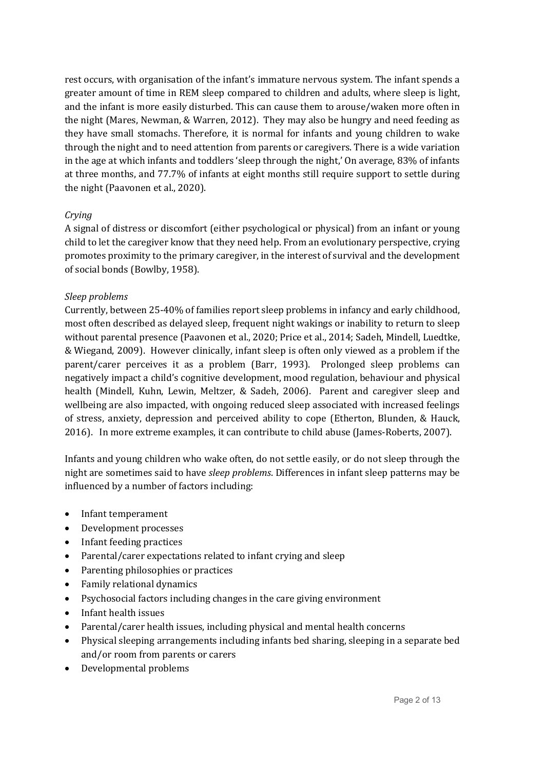rest occurs, with organisation of the infant's immature nervous system. The infant spends a greater amount of time in REM sleep compared to children and adults, where sleep is light, and the infant is more easily disturbed. This can cause them to arouse/waken more often in the night (Mares, Newman,  $& Warren, 2012$ ). They may also be hungry and need feeding as they have small stomachs. Therefore, it is normal for infants and young children to wake through the night and to need attention from parents or caregivers. There is a wide variation in the age at which infants and toddlers 'sleep through the night,' On average, 83% of infants at three months, and 77.7% of infants at eight months still require support to settle during the night (Paavonen et al., 2020).

### *Crying*

A signal of distress or discomfort (either psychological or physical) from an infant or young child to let the caregiver know that they need help. From an evolutionary perspective, crying promotes proximity to the primary caregiver, in the interest of survival and the development of social bonds (Bowlby, 1958).

### *Sleep problems*

Currently, between 25-40% of families report sleep problems in infancy and early childhood, most often described as delayed sleep, frequent night wakings or inability to return to sleep without parental presence (Paavonen et al., 2020; Price et al., 2014; Sadeh, Mindell, Luedtke, & Wiegand, 2009). However clinically, infant sleep is often only viewed as a problem if the parent/carer perceives it as a problem (Barr, 1993). Prolonged sleep problems can negatively impact a child's cognitive development, mood regulation, behaviour and physical health (Mindell, Kuhn, Lewin, Meltzer, & Sadeh, 2006). Parent and caregiver sleep and wellbeing are also impacted, with ongoing reduced sleep associated with increased feelings of stress, anxiety, depression and perceived ability to cope (Etherton, Blunden, & Hauck, 2016). In more extreme examples, it can contribute to child abuse (James-Roberts, 2007).

Infants and young children who wake often, do not settle easily, or do not sleep through the night are sometimes said to have *sleep problems*. Differences in infant sleep patterns may be influenced by a number of factors including:

- Infant temperament
- Development processes
- Infant feeding practices
- Parental/carer expectations related to infant crying and sleep
- Parenting philosophies or practices
- Family relational dynamics
- Psychosocial factors including changes in the care giving environment
- Infant health issues
- Parental/carer health issues, including physical and mental health concerns
- Physical sleeping arrangements including infants bed sharing, sleeping in a separate bed and/or room from parents or carers
- Developmental problems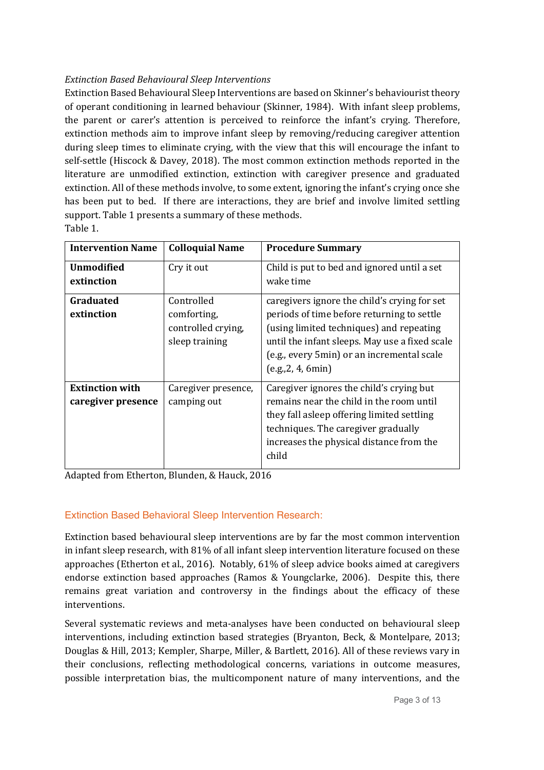# *Extinction Based Behavioural Sleep Interventions*

Extinction Based Behavioural Sleep Interventions are based on Skinner's behaviourist theory of operant conditioning in learned behaviour (Skinner, 1984). With infant sleep problems, the parent or carer's attention is perceived to reinforce the infant's crying. Therefore, extinction methods aim to improve infant sleep by removing/reducing caregiver attention during sleep times to eliminate crying, with the view that this will encourage the infant to self-settle (Hiscock & Davey, 2018). The most common extinction methods reported in the literature are unmodified extinction, extinction with caregiver presence and graduated extinction. All of these methods involve, to some extent, ignoring the infant's crying once she has been put to bed. If there are interactions, they are brief and involve limited settling support. Table 1 presents a summary of these methods. Table 1.

| <b>Intervention Name</b>                     | <b>Colloquial Name</b>                                            | <b>Procedure Summary</b>                                                                                                                                                                                                                                     |
|----------------------------------------------|-------------------------------------------------------------------|--------------------------------------------------------------------------------------------------------------------------------------------------------------------------------------------------------------------------------------------------------------|
| <b>Unmodified</b><br>extinction              | Cry it out                                                        | Child is put to bed and ignored until a set<br>wake time                                                                                                                                                                                                     |
| Graduated<br>extinction                      | Controlled<br>comforting,<br>controlled crying,<br>sleep training | caregivers ignore the child's crying for set<br>periods of time before returning to settle<br>(using limited techniques) and repeating<br>until the infant sleeps. May use a fixed scale<br>(e.g., every 5min) or an incremental scale<br>(e.g., 2, 4, 6min) |
| <b>Extinction with</b><br>caregiver presence | Caregiver presence,<br>camping out                                | Caregiver ignores the child's crying but<br>remains near the child in the room until<br>they fall asleep offering limited settling<br>techniques. The caregiver gradually<br>increases the physical distance from the<br>child                               |

Adapted from Etherton, Blunden, & Hauck, 2016

# Extinction Based Behavioral Sleep Intervention Research:

Extinction based behavioural sleep interventions are by far the most common intervention in infant sleep research, with 81% of all infant sleep intervention literature focused on these approaches (Etherton et al., 2016). Notably,  $61\%$  of sleep advice books aimed at caregivers endorse extinction based approaches (Ramos & Youngclarke,  $2006$ ). Despite this, there remains great variation and controversy in the findings about the efficacy of these interventions. 

Several systematic reviews and meta-analyses have been conducted on behavioural sleep interventions, including extinction based strategies (Bryanton, Beck, & Montelpare, 2013; Douglas & Hill, 2013; Kempler, Sharpe, Miller, & Bartlett, 2016). All of these reviews vary in their conclusions, reflecting methodological concerns, variations in outcome measures, possible interpretation bias, the multicomponent nature of many interventions, and the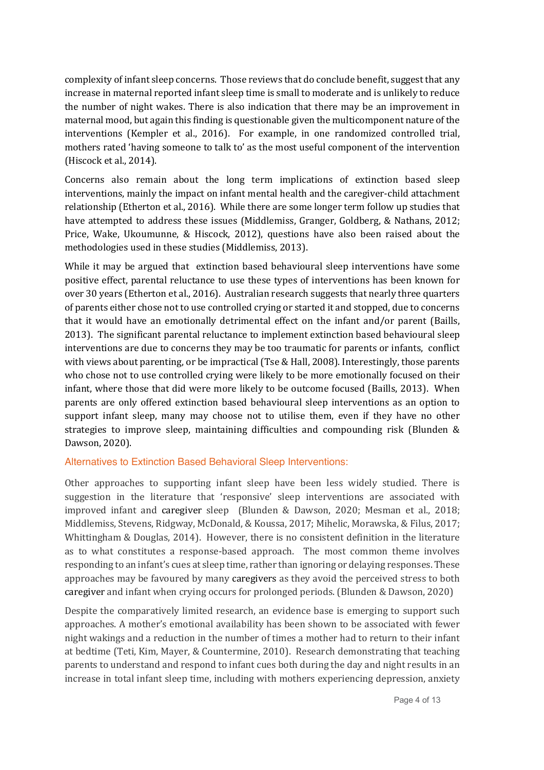complexity of infant sleep concerns. Those reviews that do conclude benefit, suggest that any increase in maternal reported infant sleep time is small to moderate and is unlikely to reduce the number of night wakes. There is also indication that there may be an improvement in maternal mood, but again this finding is questionable given the multicomponent nature of the interventions (Kempler et al., 2016). For example, in one randomized controlled trial, mothers rated 'having someone to talk to' as the most useful component of the intervention (Hiscock et al., 2014).

Concerns also remain about the long term implications of extinction based sleep interventions, mainly the impact on infant mental health and the caregiver-child attachment relationship (Etherton et al., 2016). While there are some longer term follow up studies that have attempted to address these issues (Middlemiss, Granger, Goldberg, & Nathans, 2012; Price, Wake, Ukoumunne, & Hiscock, 2012), questions have also been raised about the methodologies used in these studies (Middlemiss, 2013).

While it may be argued that extinction based behavioural sleep interventions have some positive effect, parental reluctance to use these types of interventions has been known for over 30 years (Etherton et al., 2016). Australian research suggests that nearly three quarters of parents either chose not to use controlled crying or started it and stopped, due to concerns that it would have an emotionally detrimental effect on the infant and/or parent (Baills, 2013). The significant parental reluctance to implement extinction based behavioural sleep interventions are due to concerns they may be too traumatic for parents or infants, conflict with views about parenting, or be impractical (Tse & Hall, 2008). Interestingly, those parents who chose not to use controlled crying were likely to be more emotionally focused on their infant, where those that did were more likely to be outcome focused (Baills, 2013). When parents are only offered extinction based behavioural sleep interventions as an option to support infant sleep, many may choose not to utilise them, even if they have no other strategies to improve sleep, maintaining difficulties and compounding risk (Blunden  $\&$ Dawson, 2020).

### Alternatives to Extinction Based Behavioral Sleep Interventions:

Other approaches to supporting infant sleep have been less widely studied. There is suggestion in the literature that 'responsive' sleep interventions are associated with improved infant and caregiver sleep (Blunden & Dawson, 2020; Mesman et al., 2018; Middlemiss, Stevens, Ridgway, McDonald, & Koussa, 2017; Mihelic, Morawska, & Filus, 2017; Whittingham & Douglas, 2014). However, there is no consistent definition in the literature as to what constitutes a response-based approach. The most common theme involves responding to an infant's cues at sleep time, rather than ignoring or delaying responses. These approaches may be favoured by many caregivers as they avoid the perceived stress to both caregiver and infant when crying occurs for prolonged periods. (Blunden & Dawson, 2020)

Despite the comparatively limited research, an evidence base is emerging to support such approaches. A mother's emotional availability has been shown to be associated with fewer night wakings and a reduction in the number of times a mother had to return to their infant at bedtime (Teti, Kim, Mayer, & Countermine, 2010). Research demonstrating that teaching parents to understand and respond to infant cues both during the day and night results in an increase in total infant sleep time, including with mothers experiencing depression, anxiety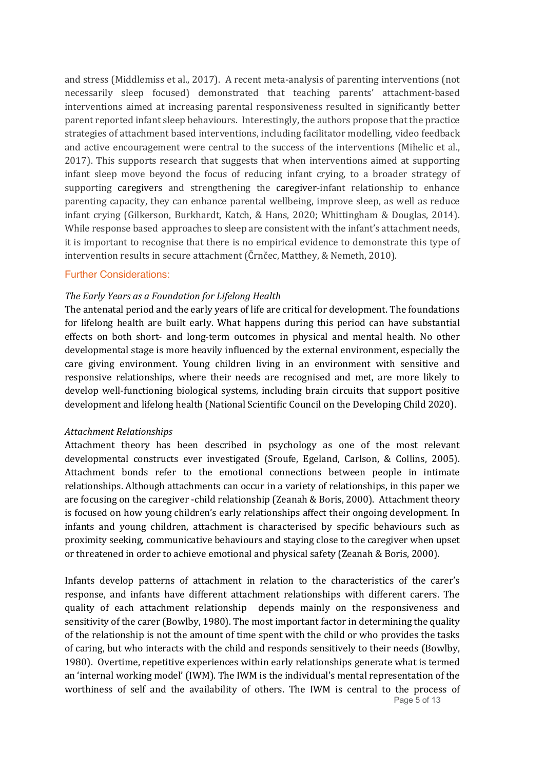and stress (Middlemiss et al., 2017). A recent meta-analysis of parenting interventions (not necessarily sleep focused) demonstrated that teaching parents' attachment-based interventions aimed at increasing parental responsiveness resulted in significantly better parent reported infant sleep behaviours. Interestingly, the authors propose that the practice strategies of attachment based interventions, including facilitator modelling, video feedback and active encouragement were central to the success of the interventions (Mihelic et al., 2017). This supports research that suggests that when interventions aimed at supporting infant sleep move beyond the focus of reducing infant crying, to a broader strategy of supporting caregivers and strengthening the caregiver-infant relationship to enhance parenting capacity, they can enhance parental wellbeing, improve sleep, as well as reduce infant crying (Gilkerson, Burkhardt, Katch, & Hans, 2020; Whittingham & Douglas, 2014). While response based approaches to sleep are consistent with the infant's attachment needs, it is important to recognise that there is no empirical evidence to demonstrate this type of intervention results in secure attachment (Crnčec, Matthey,  $&$  Nemeth, 2010).

#### Further Considerations:

### The Early Years as a Foundation for Lifelong Health

The antenatal period and the early years of life are critical for development. The foundations for lifelong health are built early. What happens during this period can have substantial effects on both short- and long-term outcomes in physical and mental health. No other developmental stage is more heavily influenced by the external environment, especially the care giving environment. Young children living in an environment with sensitive and responsive relationships, where their needs are recognised and met, are more likely to develop well-functioning biological systems, including brain circuits that support positive development and lifelong health (National Scientific Council on the Developing Child 2020).

#### *Attachment Relationships*

Attachment theory has been described in psychology as one of the most relevant developmental constructs ever investigated (Sroufe, Egeland, Carlson, & Collins, 2005). Attachment bonds refer to the emotional connections between people in intimate relationships. Although attachments can occur in a variety of relationships, in this paper we are focusing on the caregiver -child relationship (Zeanah & Boris, 2000). Attachment theory is focused on how young children's early relationships affect their ongoing development. In infants and young children, attachment is characterised by specific behaviours such as proximity seeking, communicative behaviours and staying close to the caregiver when upset or threatened in order to achieve emotional and physical safety (Zeanah & Boris, 2000).

Infants develop patterns of attachment in relation to the characteristics of the carer's response, and infants have different attachment relationships with different carers. The quality of each attachment relationship depends mainly on the responsiveness and sensitivity of the carer (Bowlby, 1980). The most important factor in determining the quality of the relationship is not the amount of time spent with the child or who provides the tasks of caring, but who interacts with the child and responds sensitively to their needs (Bowlby, 1980). Overtime, repetitive experiences within early relationships generate what is termed an 'internal working model' (IWM). The IWM is the individual's mental representation of the worthiness of self and the availability of others. The IWM is central to the process of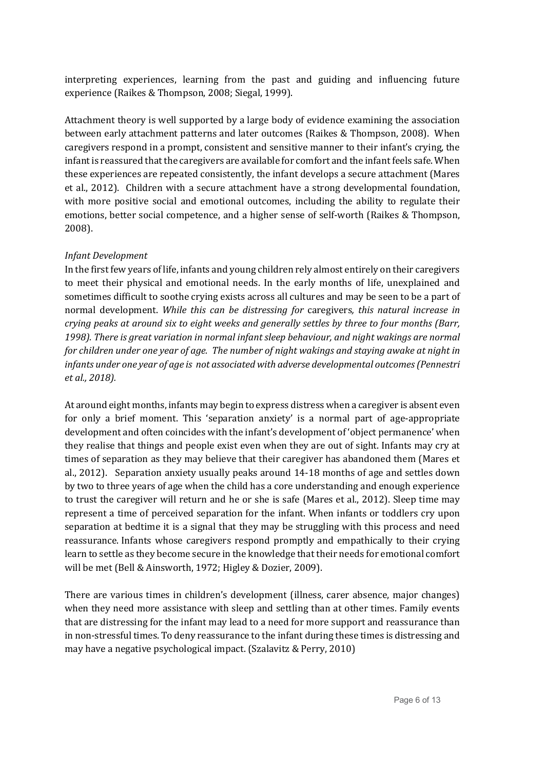interpreting experiences, learning from the past and guiding and influencing future experience (Raikes & Thompson, 2008; Siegal, 1999).

Attachment theory is well supported by a large body of evidence examining the association between early attachment patterns and later outcomes (Raikes & Thompson, 2008). When caregivers respond in a prompt, consistent and sensitive manner to their infant's crying, the infant is reassured that the caregivers are available for comfort and the infant feels safe. When these experiences are repeated consistently, the infant develops a secure attachment (Mares et al., 2012). Children with a secure attachment have a strong developmental foundation, with more positive social and emotional outcomes, including the ability to regulate their emotions, better social competence, and a higher sense of self-worth (Raikes & Thompson, 2008). 

### *Infant Development*

In the first few years of life, infants and young children rely almost entirely on their caregivers to meet their physical and emotional needs. In the early months of life, unexplained and sometimes difficult to soothe crying exists across all cultures and may be seen to be a part of normal development. While this can be distressing for caregivers, this natural increase in *crying peaks at around six to eight weeks and generally settles by three to four months (Barr,* 1998). There is great variation in normal infant sleep behaviour, and night wakings are normal *for children under one year of age. The number of night wakings and staying awake at night in infants under one year of age is not associated with adverse developmental outcomes (Pennestri et al., 2018).*

At around eight months, infants may begin to express distress when a caregiver is absent even for only a brief moment. This 'separation anxiety' is a normal part of age-appropriate development and often coincides with the infant's development of 'object permanence' when they realise that things and people exist even when they are out of sight. Infants may cry at times of separation as they may believe that their caregiver has abandoned them (Mares et al., 2012). Separation anxiety usually peaks around 14-18 months of age and settles down by two to three years of age when the child has a core understanding and enough experience to trust the caregiver will return and he or she is safe (Mares et al., 2012). Sleep time may represent a time of perceived separation for the infant. When infants or toddlers cry upon separation at bedtime it is a signal that they may be struggling with this process and need reassurance. Infants whose caregivers respond promptly and empathically to their crying learn to settle as they become secure in the knowledge that their needs for emotional comfort will be met (Bell & Ainsworth, 1972; Higley & Dozier, 2009).

There are various times in children's development (illness, carer absence, major changes) when they need more assistance with sleep and settling than at other times. Family events that are distressing for the infant may lead to a need for more support and reassurance than in non-stressful times. To deny reassurance to the infant during these times is distressing and may have a negative psychological impact. (Szalavitz & Perry, 2010)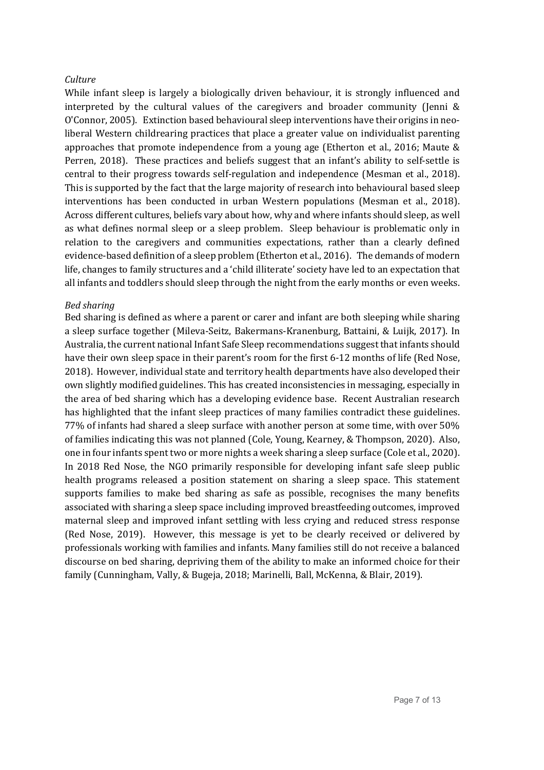## *Culture*

While infant sleep is largely a biologically driven behaviour, it is strongly influenced and interpreted by the cultural values of the caregivers and broader community (Jenni  $\&$ O'Connor, 2005). Extinction based behavioural sleep interventions have their origins in neoliberal Western childrearing practices that place a greater value on individualist parenting approaches that promote independence from a young age (Etherton et al., 2016; Maute  $&$ Perren, 2018). These practices and beliefs suggest that an infant's ability to self-settle is central to their progress towards self-regulation and independence (Mesman et al., 2018). This is supported by the fact that the large majority of research into behavioural based sleep interventions has been conducted in urban Western populations (Mesman et al., 2018). Across different cultures, beliefs vary about how, why and where infants should sleep, as well as what defines normal sleep or a sleep problem. Sleep behaviour is problematic only in relation to the caregivers and communities expectations, rather than a clearly defined evidence-based definition of a sleep problem (Etherton et al., 2016). The demands of modern life, changes to family structures and a 'child illiterate' society have led to an expectation that all infants and toddlers should sleep through the night from the early months or even weeks.

### *Bed sharing*

Bed sharing is defined as where a parent or carer and infant are both sleeping while sharing a sleep surface together (Mileva-Seitz, Bakermans-Kranenburg, Battaini, & Luijk, 2017). In Australia, the current national Infant Safe Sleep recommendations suggest that infants should have their own sleep space in their parent's room for the first 6-12 months of life (Red Nose, 2018). However, individual state and territory health departments have also developed their own slightly modified guidelines. This has created inconsistencies in messaging, especially in the area of bed sharing which has a developing evidence base. Recent Australian research has highlighted that the infant sleep practices of many families contradict these guidelines. 77% of infants had shared a sleep surface with another person at some time, with over 50% of families indicating this was not planned (Cole, Young, Kearney, & Thompson, 2020). Also, one in four infants spent two or more nights a week sharing a sleep surface (Cole et al., 2020). In 2018 Red Nose, the NGO primarily responsible for developing infant safe sleep public health programs released a position statement on sharing a sleep space. This statement supports families to make bed sharing as safe as possible, recognises the many benefits associated with sharing a sleep space including improved breastfeeding outcomes, improved maternal sleep and improved infant settling with less crying and reduced stress response (Red Nose, 2019). However, this message is yet to be clearly received or delivered by professionals working with families and infants. Many families still do not receive a balanced discourse on bed sharing, depriving them of the ability to make an informed choice for their family (Cunningham, Vally, & Bugeja, 2018; Marinelli, Ball, McKenna, & Blair, 2019).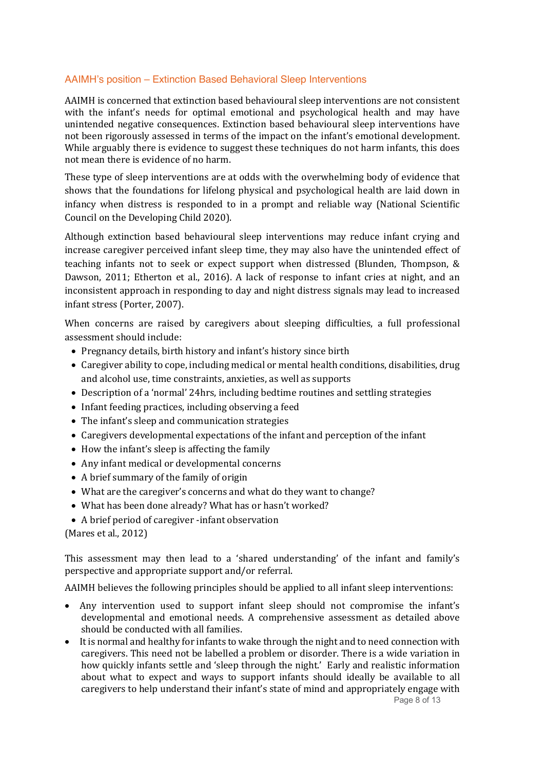# AAIMH's position – Extinction Based Behavioral Sleep Interventions

AAIMH is concerned that extinction based behavioural sleep interventions are not consistent with the infant's needs for optimal emotional and psychological health and may have unintended negative consequences. Extinction based behavioural sleep interventions have not been rigorously assessed in terms of the impact on the infant's emotional development. While arguably there is evidence to suggest these techniques do not harm infants, this does not mean there is evidence of no harm.

These type of sleep interventions are at odds with the overwhelming body of evidence that shows that the foundations for lifelong physical and psychological health are laid down in infancy when distress is responded to in a prompt and reliable way (National Scientific Council on the Developing Child 2020).

Although extinction based behavioural sleep interventions may reduce infant crying and increase caregiver perceived infant sleep time, they may also have the unintended effect of teaching infants not to seek or expect support when distressed (Blunden, Thompson,  $\&$ Dawson, 2011; Etherton et al., 2016). A lack of response to infant cries at night, and an inconsistent approach in responding to day and night distress signals may lead to increased infant stress (Porter, 2007).

When concerns are raised by caregivers about sleeping difficulties, a full professional assessment should include:

- Pregnancy details, birth history and infant's history since birth
- Caregiver ability to cope, including medical or mental health conditions, disabilities, drug and alcohol use, time constraints, anxieties, as well as supports
- Description of a 'normal' 24hrs, including bedtime routines and settling strategies
- Infant feeding practices, including observing a feed
- $\bullet$  The infant's sleep and communication strategies
- Caregivers developmental expectations of the infant and perception of the infant
- $\bullet$  How the infant's sleep is affecting the family
- Any infant medical or developmental concerns
- A brief summary of the family of origin
- What are the caregiver's concerns and what do they want to change?
- What has been done already? What has or hasn't worked?
- A brief period of caregiver -infant observation

(Mares et al., 2012)

This assessment may then lead to a 'shared understanding' of the infant and family's perspective and appropriate support and/or referral.

AAIMH believes the following principles should be applied to all infant sleep interventions:

- Any intervention used to support infant sleep should not compromise the infant's developmental and emotional needs. A comprehensive assessment as detailed above should be conducted with all families.
- It is normal and healthy for infants to wake through the night and to need connection with caregivers. This need not be labelled a problem or disorder. There is a wide variation in how quickly infants settle and 'sleep through the night.' Early and realistic information about what to expect and ways to support infants should ideally be available to all caregivers to help understand their infant's state of mind and appropriately engage with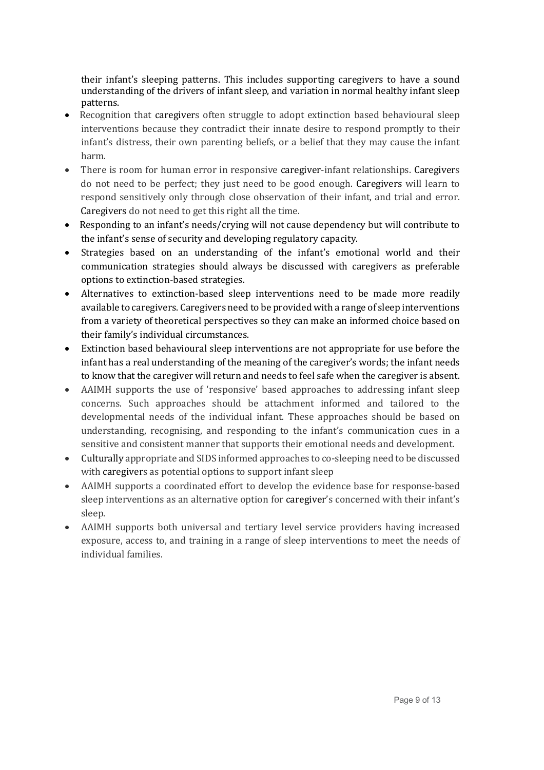their infant's sleeping patterns. This includes supporting caregivers to have a sound understanding of the drivers of infant sleep, and variation in normal healthy infant sleep patterns.

- Recognition that caregivers often struggle to adopt extinction based behavioural sleep interventions because they contradict their innate desire to respond promptly to their infant's distress, their own parenting beliefs, or a belief that they may cause the infant harm.
- There is room for human error in responsive caregiver-infant relationships. Caregivers do not need to be perfect; they just need to be good enough. Caregivers will learn to respond sensitively only through close observation of their infant, and trial and error. Caregivers do not need to get this right all the time.
- Responding to an infant's needs/crying will not cause dependency but will contribute to the infant's sense of security and developing regulatory capacity.
- Strategies based on an understanding of the infant's emotional world and their communication strategies should always be discussed with caregivers as preferable options to extinction-based strategies.
- Alternatives to extinction-based sleep interventions need to be made more readily available to caregivers. Caregivers need to be provided with a range of sleep interventions from a variety of theoretical perspectives so they can make an informed choice based on their family's individual circumstances.
- Extinction based behavioural sleep interventions are not appropriate for use before the infant has a real understanding of the meaning of the caregiver's words; the infant needs to know that the caregiver will return and needs to feel safe when the caregiver is absent.
- AAIMH supports the use of 'responsive' based approaches to addressing infant sleep concerns. Such approaches should be attachment informed and tailored to the developmental needs of the individual infant. These approaches should be based on understanding, recognising, and responding to the infant's communication cues in a sensitive and consistent manner that supports their emotional needs and development.
- Culturally appropriate and SIDS informed approaches to co-sleeping need to be discussed with caregivers as potential options to support infant sleep
- AAIMH supports a coordinated effort to develop the evidence base for response-based sleep interventions as an alternative option for caregiver's concerned with their infant's sleep.
- AAIMH supports both universal and tertiary level service providers having increased exposure, access to, and training in a range of sleep interventions to meet the needs of individual families.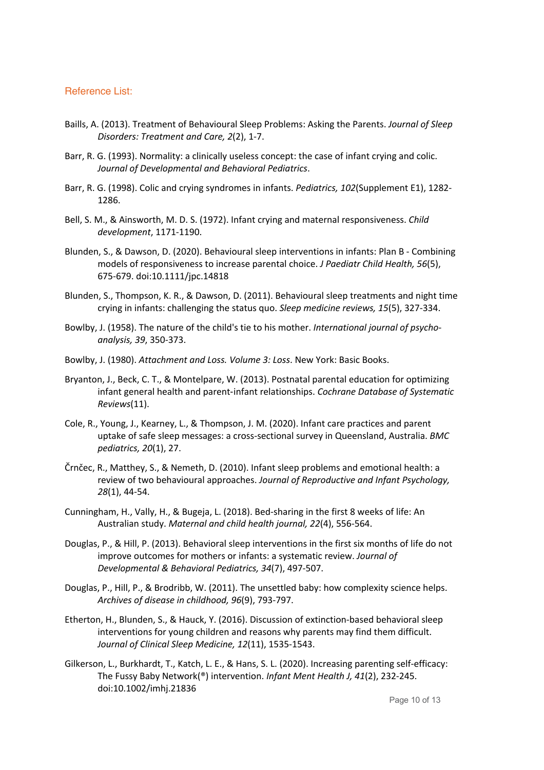### Reference List:

- Baills, A. (2013). Treatment of Behavioural Sleep Problems: Asking the Parents. *Journal of Sleep Disorders: Treatment and Care, 2*(2), 1-7.
- Barr, R. G. (1993). Normality: a clinically useless concept: the case of infant crying and colic. *Journal of Developmental and Behavioral Pediatrics*.
- Barr, R. G. (1998). Colic and crying syndromes in infants. *Pediatrics, 102*(Supplement E1), 1282- 1286.
- Bell, S. M., & Ainsworth, M. D. S. (1972). Infant crying and maternal responsiveness. *Child development*, 1171-1190.
- Blunden, S., & Dawson, D. (2020). Behavioural sleep interventions in infants: Plan B Combining models of responsiveness to increase parental choice. *J Paediatr Child Health, 56*(5), 675-679. doi:10.1111/jpc.14818
- Blunden, S., Thompson, K. R., & Dawson, D. (2011). Behavioural sleep treatments and night time crying in infants: challenging the status quo. *Sleep medicine reviews, 15*(5), 327-334.
- Bowlby, J. (1958). The nature of the child's tie to his mother. *International journal of psychoanalysis, 39*, 350-373.
- Bowlby, J. (1980). *Attachment and Loss. Volume 3: Loss*. New York: Basic Books.
- Bryanton, J., Beck, C. T., & Montelpare, W. (2013). Postnatal parental education for optimizing infant general health and parent-infant relationships. *Cochrane Database of Systematic Reviews*(11).
- Cole, R., Young, J., Kearney, L., & Thompson, J. M. (2020). Infant care practices and parent uptake of safe sleep messages: a cross-sectional survey in Queensland, Australia. *BMC pediatrics, 20*(1), 27.
- Črnčec, R., Matthey, S., & Nemeth, D. (2010). Infant sleep problems and emotional health: a review of two behavioural approaches. *Journal of Reproductive and Infant Psychology, 28*(1), 44-54.
- Cunningham, H., Vally, H., & Bugeja, L. (2018). Bed-sharing in the first 8 weeks of life: An Australian study. *Maternal and child health journal, 22*(4), 556-564.
- Douglas, P., & Hill, P. (2013). Behavioral sleep interventions in the first six months of life do not improve outcomes for mothers or infants: a systematic review. *Journal of Developmental & Behavioral Pediatrics, 34*(7), 497-507.
- Douglas, P., Hill, P., & Brodribb, W. (2011). The unsettled baby: how complexity science helps. *Archives of disease in childhood, 96*(9), 793-797.
- Etherton, H., Blunden, S., & Hauck, Y. (2016). Discussion of extinction-based behavioral sleep interventions for young children and reasons why parents may find them difficult. *Journal of Clinical Sleep Medicine, 12*(11), 1535-1543.
- Gilkerson, L., Burkhardt, T., Katch, L. E., & Hans, S. L. (2020). Increasing parenting self-efficacy: The Fussy Baby Network(®) intervention. *Infant Ment Health J, 41*(2), 232-245. doi:10.1002/imhj.21836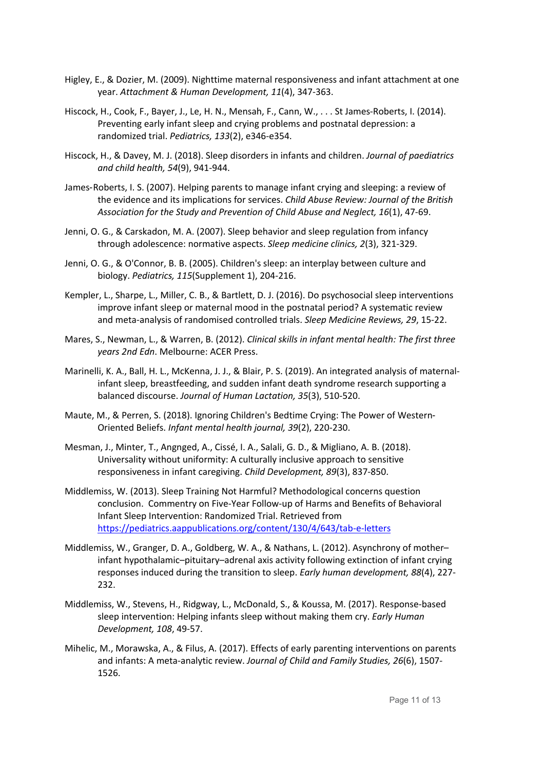- Higley, E., & Dozier, M. (2009). Nighttime maternal responsiveness and infant attachment at one year. *Attachment & Human Development, 11*(4), 347-363.
- Hiscock, H., Cook, F., Bayer, J., Le, H. N., Mensah, F., Cann, W., . . . St James-Roberts, I. (2014). Preventing early infant sleep and crying problems and postnatal depression: a randomized trial. *Pediatrics, 133*(2), e346-e354.
- Hiscock, H., & Davey, M. J. (2018). Sleep disorders in infants and children. *Journal of paediatrics and child health, 54*(9), 941-944.
- James-Roberts, I. S. (2007). Helping parents to manage infant crying and sleeping: a review of the evidence and its implications for services. *Child Abuse Review: Journal of the British Association for the Study and Prevention of Child Abuse and Neglect, 16*(1), 47-69.
- Jenni, O. G., & Carskadon, M. A. (2007). Sleep behavior and sleep regulation from infancy through adolescence: normative aspects. *Sleep medicine clinics, 2*(3), 321-329.
- Jenni, O. G., & O'Connor, B. B. (2005). Children's sleep: an interplay between culture and biology. *Pediatrics, 115*(Supplement 1), 204-216.
- Kempler, L., Sharpe, L., Miller, C. B., & Bartlett, D. J. (2016). Do psychosocial sleep interventions improve infant sleep or maternal mood in the postnatal period? A systematic review and meta-analysis of randomised controlled trials. *Sleep Medicine Reviews, 29*, 15-22.
- Mares, S., Newman, L., & Warren, B. (2012). *Clinical skills in infant mental health: The first three years 2nd Edn*. Melbourne: ACER Press.
- Marinelli, K. A., Ball, H. L., McKenna, J. J., & Blair, P. S. (2019). An integrated analysis of maternalinfant sleep, breastfeeding, and sudden infant death syndrome research supporting a balanced discourse. *Journal of Human Lactation, 35*(3), 510-520.
- Maute, M., & Perren, S. (2018). Ignoring Children's Bedtime Crying: The Power of Western-Oriented Beliefs. *Infant mental health journal, 39*(2), 220-230.
- Mesman, J., Minter, T., Angnged, A., Cissé, I. A., Salali, G. D., & Migliano, A. B. (2018). Universality without uniformity: A culturally inclusive approach to sensitive responsiveness in infant caregiving. *Child Development, 89*(3), 837-850.
- Middlemiss, W. (2013). Sleep Training Not Harmful? Methodological concerns question conclusion. Commentry on Five-Year Follow-up of Harms and Benefits of Behavioral Infant Sleep Intervention: Randomized Trial. Retrieved from https://pediatrics.aappublications.org/content/130/4/643/tab-e-letters
- Middlemiss, W., Granger, D. A., Goldberg, W. A., & Nathans, L. (2012). Asynchrony of mother– infant hypothalamic–pituitary–adrenal axis activity following extinction of infant crying responses induced during the transition to sleep. *Early human development, 88*(4), 227- 232.
- Middlemiss, W., Stevens, H., Ridgway, L., McDonald, S., & Koussa, M. (2017). Response-based sleep intervention: Helping infants sleep without making them cry. *Early Human Development, 108*, 49-57.
- Mihelic, M., Morawska, A., & Filus, A. (2017). Effects of early parenting interventions on parents and infants: A meta-analytic review. *Journal of Child and Family Studies, 26*(6), 1507- 1526.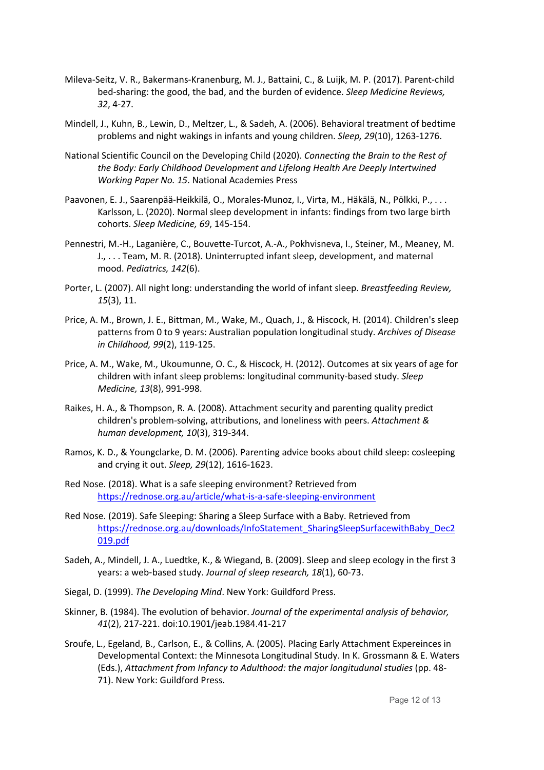- Mileva-Seitz, V. R., Bakermans-Kranenburg, M. J., Battaini, C., & Luijk, M. P. (2017). Parent-child bed-sharing: the good, the bad, and the burden of evidence. *Sleep Medicine Reviews, 32*, 4-27.
- Mindell, J., Kuhn, B., Lewin, D., Meltzer, L., & Sadeh, A. (2006). Behavioral treatment of bedtime problems and night wakings in infants and young children. *Sleep, 29*(10), 1263-1276.
- National Scientific Council on the Developing Child (2020). *Connecting the Brain to the Rest of the Body: Early Childhood Development and Lifelong Health Are Deeply Intertwined Working Paper No. 15*. National Academies Press
- Paavonen, E. J., Saarenpää-Heikkilä, O., Morales-Munoz, I., Virta, M., Häkälä, N., Pölkki, P., . . . Karlsson, L. (2020). Normal sleep development in infants: findings from two large birth cohorts. *Sleep Medicine, 69*, 145-154.
- Pennestri, M.-H., Laganière, C., Bouvette-Turcot, A.-A., Pokhvisneva, I., Steiner, M., Meaney, M. J., . . . Team, M. R. (2018). Uninterrupted infant sleep, development, and maternal mood. *Pediatrics, 142*(6).
- Porter, L. (2007). All night long: understanding the world of infant sleep. *Breastfeeding Review, 15*(3), 11.
- Price, A. M., Brown, J. E., Bittman, M., Wake, M., Quach, J., & Hiscock, H. (2014). Children's sleep patterns from 0 to 9 years: Australian population longitudinal study. *Archives of Disease in Childhood, 99*(2), 119-125.
- Price, A. M., Wake, M., Ukoumunne, O. C., & Hiscock, H. (2012). Outcomes at six years of age for children with infant sleep problems: longitudinal community-based study. *Sleep Medicine, 13*(8), 991-998.
- Raikes, H. A., & Thompson, R. A. (2008). Attachment security and parenting quality predict children's problem-solving, attributions, and loneliness with peers. *Attachment & human development, 10*(3), 319-344.
- Ramos, K. D., & Youngclarke, D. M. (2006). Parenting advice books about child sleep: cosleeping and crying it out. *Sleep, 29*(12), 1616-1623.
- Red Nose. (2018). What is a safe sleeping environment? Retrieved from https://rednose.org.au/article/what-is-a-safe-sleeping-environment
- Red Nose. (2019). Safe Sleeping: Sharing a Sleep Surface with a Baby. Retrieved from https://rednose.org.au/downloads/InfoStatement\_SharingSleepSurfacewithBaby\_Dec2 019.pdf
- Sadeh, A., Mindell, J. A., Luedtke, K., & Wiegand, B. (2009). Sleep and sleep ecology in the first 3 years: a web-based study. *Journal of sleep research, 18*(1), 60-73.
- Siegal, D. (1999). *The Developing Mind*. New York: Guildford Press.
- Skinner, B. (1984). The evolution of behavior. *Journal of the experimental analysis of behavior, 41*(2), 217-221. doi:10.1901/jeab.1984.41-217
- Sroufe, L., Egeland, B., Carlson, E., & Collins, A. (2005). Placing Early Attachment Expereinces in Developmental Context: the Minnesota Longitudinal Study. In K. Grossmann & E. Waters (Eds.), *Attachment from Infancy to Adulthood: the major longitudunal studies* (pp. 48- 71). New York: Guildford Press.